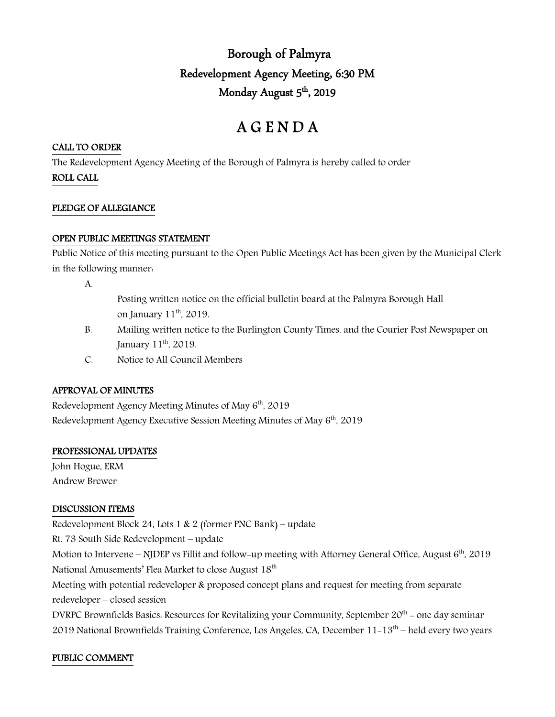# Borough of Palmyra Redevelopment Agency Meeting, 6:30 PM Monday August 5<sup>th</sup>, 2019

# A G E N D A

### CALL TO ORDER

The Redevelopment Agency Meeting of the Borough of Palmyra is hereby called to order

ROLL CALL

#### PLEDGE OF ALLEGIANCE

#### OPEN PUBLIC MEETINGS STATEMENT

Public Notice of this meeting pursuant to the Open Public Meetings Act has been given by the Municipal Clerk in the following manner:

A.

- Posting written notice on the official bulletin board at the Palmyra Borough Hall on January 11<sup>th</sup>, 2019.
- B. Mailing written notice to the Burlington County Times, and the Courier Post Newspaper on January 11<sup>th</sup>, 2019.
- C. Notice to All Council Members

## APPROVAL OF MINUTES

Redevelopment Agency Meeting Minutes of May 6<sup>th</sup>, 2019 Redevelopment Agency Executive Session Meeting Minutes of May  $6<sup>th</sup>$ , 2019

## PROFESSIONAL UPDATES

John Hogue, ERM Andrew Brewer

## DISCUSSION ITEMS

Redevelopment Block 24, Lots 1 & 2 (former PNC Bank) – update

Rt. 73 South Side Redevelopment – update

Motion to Intervene – NJDEP vs Fillit and follow-up meeting with Attorney General Office, August  $6<sup>th</sup>$ , 2019 National Amusements' Flea Market to close August 18<sup>th</sup>

Meeting with potential redeveloper & proposed concept plans and request for meeting from separate redeveloper – closed session

DVRPC Brownfields Basics. Resources for Revitalizing your Community, September  $20<sup>th</sup>$  – one day seminar 2019 National Brownfields Training Conference, Los Angeles, CA, December 11-13th – held every two years

# PUBLIC COMMENT